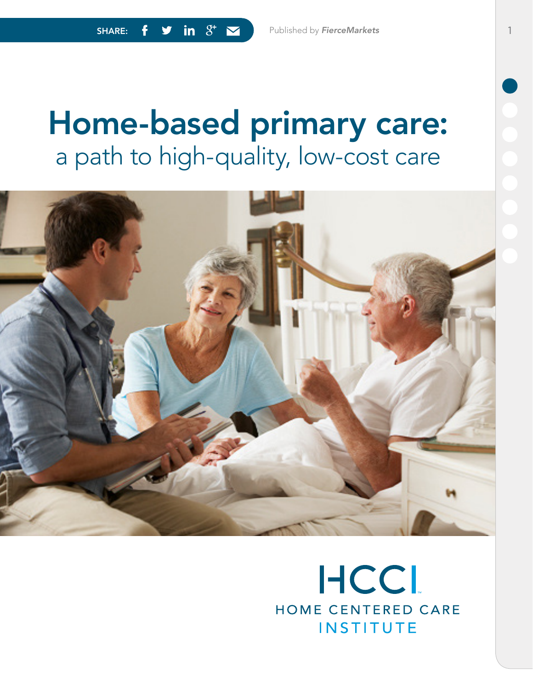# Home-based primary care: a path to high-quality, low-cost care



## **HCCL** HOME CENTERED CARE **INSTITUTE**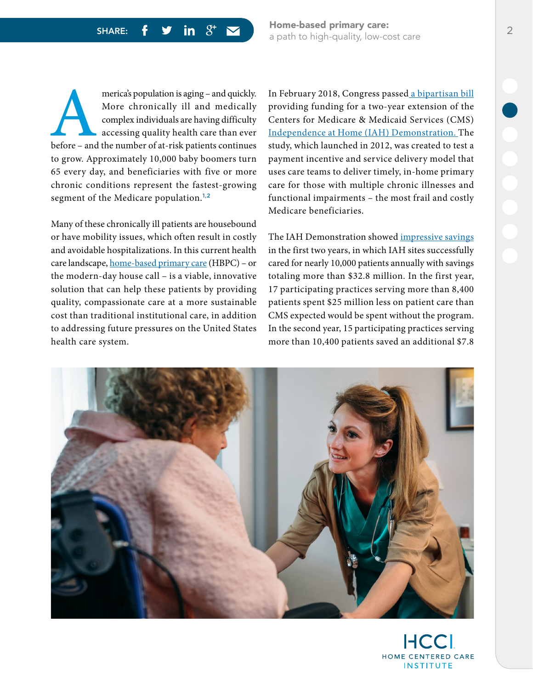SHARE:  $f \circ in \quad g^+ \sim$  Home-based primary care: a path to high-quality, low-cost care 2

merica's population is aging – and quickly.<br>
More chronically ill and medically<br>
complex individuals are having difficulty<br>
accessing quality health care than ever<br>
before – and the number of at-risk patients continues More chronically ill and medically complex individuals are having difficulty accessing quality health care than ever to grow. Approximately 10,000 baby boomers turn 65 every day, and beneficiaries with five or more chronic conditions represent the fastest-growing segment of the Medicare population.<sup>1,2</sup>

Many of these chronically ill patients are housebound or have mobility issues, which often result in costly and avoidable hospitalizations. In this current health care landscape, [home-based primary care](https://www.hccinstitute.org/) (HBPC) – or the modern-day house call – is a viable, innovative solution that can help these patients by providing quality, compassionate care at a more sustainable cost than traditional institutional care, in addition to addressing future pressures on the United States health care system.

In February 2018, Congress passed [a bipartisan bill](https://newswise.com/articles/american-academy-of-home-care-medicine-applauds-extension-of-independence-at-home-(iah)-demonstration) providing funding for a two-year extension of the Centers for Medicare & Medicaid Services (CMS) [Independence at Home \(IAH\) Demonstration](https://innovation.cms.gov/initiatives/independence-at-home/). The study, which launched in 2012, was created to test a payment incentive and service delivery model that uses care teams to deliver timely, in-home primary care for those with multiple chronic illnesses and functional impairments – the most frail and costly Medicare beneficiaries.

The IAH Demonstration showed *impressive savings* in the first two years, in which IAH sites successfully cared for nearly 10,000 patients annually with savings totaling more than \$32.8 million. In the first year, 17 participating practices serving more than 8,400 patients spent \$25 million less on patient care than CMS expected would be spent without the program. In the second year, 15 participating practices serving more than 10,400 patients saved an additional \$7.8

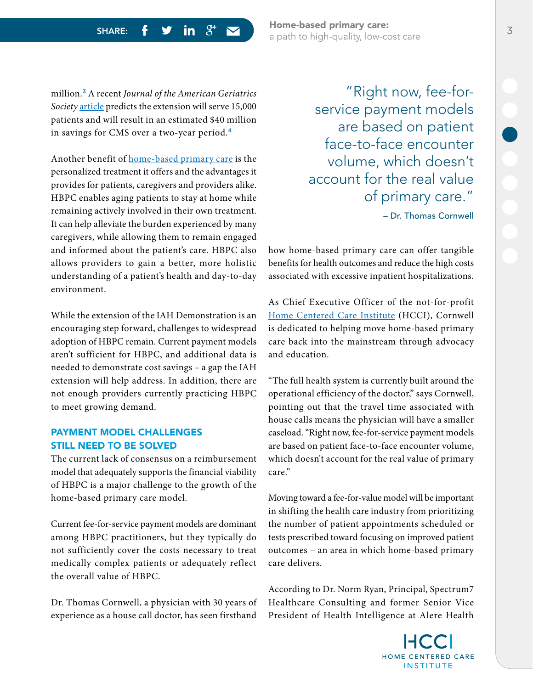SHARE:  $f \circ f$  in  $S^+$   $\sim$  Home-based primary care: a path to high-quality, low-cost care 3

million.<sup>3</sup> A recent *Journal of the American Geriatrics Society* [article](https://www.ncbi.nlm.nih.gov/pubmed/29473945) predicts the extension will serve 15,000 patients and will result in an estimated \$40 million in savings for CMS over a two-year period.<sup>4</sup>

Another benefit of [home-based primary care](https://www.hccinstitute.org/solutions/explore/why-hbpc-matters/) is the personalized treatment it offers and the advantages it provides for patients, caregivers and providers alike. HBPC enables aging patients to stay at home while remaining actively involved in their own treatment. It can help alleviate the burden experienced by many caregivers, while allowing them to remain engaged and informed about the patient's care. HBPC also allows providers to gain a better, more holistic understanding of a patient's health and day-to-day environment.

While the extension of the IAH Demonstration is an encouraging step forward, challenges to widespread adoption of HBPC remain. Current payment models aren't sufficient for HBPC, and additional data is needed to demonstrate cost savings – a gap the IAH extension will help address. In addition, there are not enough providers currently practicing HBPC to meet growing demand.

#### PAYMENT MODEL CHALLENGES STILL NEED TO BE SOLVED

The current lack of consensus on a reimbursement model that adequately supports the financial viability of HBPC is a major challenge to the growth of the home-based primary care model.

Current fee-for-service payment models are dominant among HBPC practitioners, but they typically do not sufficiently cover the costs necessary to treat medically complex patients or adequately reflect the overall value of HBPC.

Dr. Thomas Cornwell, a physician with 30 years of experience as a house call doctor, has seen firsthand

"Right now, fee-forservice payment models are based on patient face-to-face encounter volume, which doesn't account for the real value of primary care." – Dr. Thomas Cornwell

how home-based primary care can offer tangible benefits for health outcomes and reduce the high costs associated with excessive inpatient hospitalizations.

As Chief Executive Officer of the not-for-profit [Home Centered Care Institute](https://www.hccinstitute.org/) (HCCI), Cornwell is dedicated to helping move home-based primary care back into the mainstream through advocacy and education.

"The full health system is currently built around the operational efficiency of the doctor," says Cornwell, pointing out that the travel time associated with house calls means the physician will have a smaller caseload. "Right now, fee-for-service payment models are based on patient face-to-face encounter volume, which doesn't account for the real value of primary care."

Moving toward a fee-for-value model will be important in shifting the health care industry from prioritizing the number of patient appointments scheduled or tests prescribed toward focusing on improved patient outcomes – an area in which home-based primary care delivers.

According to Dr. Norm Ryan, Principal, Spectrum7 Healthcare Consulting and former Senior Vice President of Health Intelligence at Alere Health

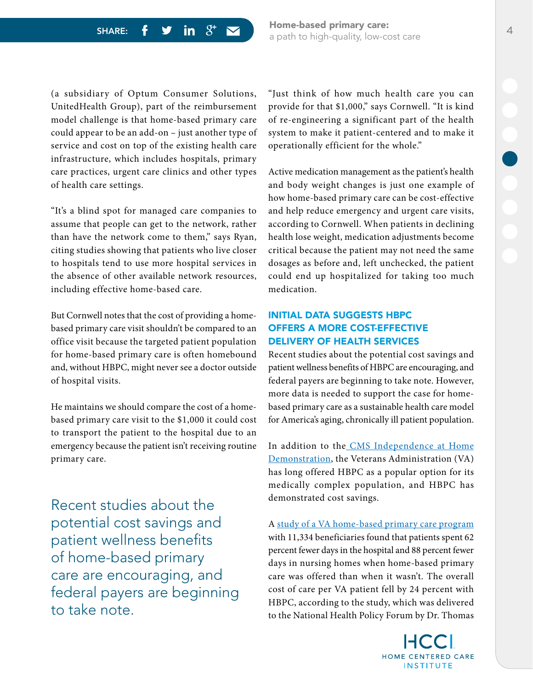(a subsidiary of Optum Consumer Solutions, UnitedHealth Group), part of the reimbursement model challenge is that home-based primary care could appear to be an add-on – just another type of service and cost on top of the existing health care infrastructure, which includes hospitals, primary care practices, urgent care clinics and other types of health care settings.

"It's a blind spot for managed care companies to assume that people can get to the network, rather than have the network come to them," says Ryan, citing studies showing that patients who live closer to hospitals tend to use more hospital services in the absence of other available network resources, including effective home-based care.

But Cornwell notes that the cost of providing a homebased primary care visit shouldn't be compared to an office visit because the targeted patient population for home-based primary care is often homebound and, without HBPC, might never see a doctor outside of hospital visits.

He maintains we should compare the cost of a homebased primary care visit to the \$1,000 it could cost to transport the patient to the hospital due to an emergency because the patient isn't receiving routine primary care.

Recent studies about the potential cost savings and patient wellness benefits of home-based primary care are encouraging, and federal payers are beginning to take note.

"Just think of how much health care you can provide for that \$1,000," says Cornwell. "It is kind of re-engineering a significant part of the health system to make it patient-centered and to make it operationally efficient for the whole."

Active medication management as the patient's health and body weight changes is just one example of how home-based primary care can be cost-effective and help reduce emergency and urgent care visits, according to Cornwell. When patients in declining health lose weight, medication adjustments become critical because the patient may not need the same dosages as before and, left unchecked, the patient could end up hospitalized for taking too much medication.

#### INITIAL DATA SUGGESTS HBPC OFFERS A MORE COST-EFFECTIVE DELIVERY OF HEALTH SERVICES

Recent studies about the potential cost savings and patient wellness benefits of HBPC are encouraging, and federal payers are beginning to take note. However, more data is needed to support the case for homebased primary care as a sustainable health care model for America's aging, chronically ill patient population.

In addition to the [CMS Independence at Home](https://innovation.cms.gov/initiatives/independence-at-home/) [Demonstration](https://innovation.cms.gov/initiatives/independence-at-home/), the Veterans Administration (VA) has long offered HBPC as a popular option for its medically complex population, and HBPC has demonstrated cost savings.

A [study of a VA home-based primary care program](https://www.nhpf.org/uploads/Handouts/Edes-slides_07-22-11.pdf) with 11,334 beneficiaries found that patients spent 62 percent fewer days in the hospital and 88 percent fewer days in nursing homes when home-based primary care was offered than when it wasn't. The overall cost of care per VA patient fell by 24 percent with HBPC, according to the study, which was delivered to the National Health Policy Forum by Dr. Thomas

> HOME CENTERED CARE **INSTITUTE**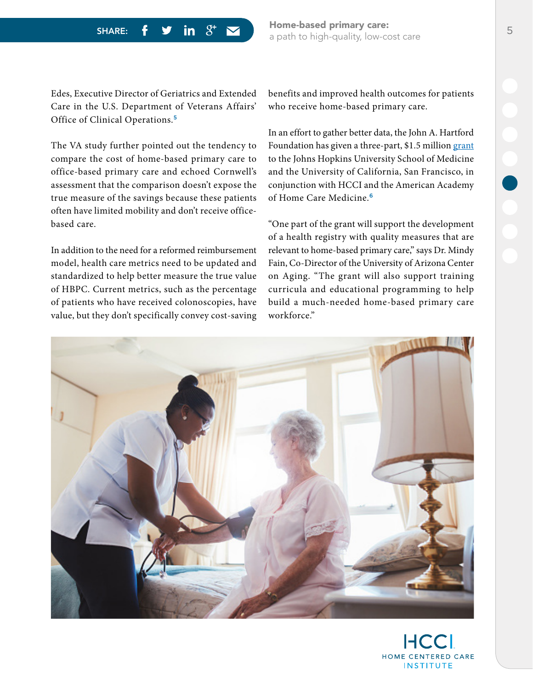SHARE:  $f \circ$  in  $S^+$   $\sim$  Home-based primary care: a path to high-quality, low-cost care 5

Edes, Executive Director of Geriatrics and Extended Care in the U.S. Department of Veterans Affairs' Office of Clinical Operations.<sup>5</sup>

The VA study further pointed out the tendency to compare the cost of home-based primary care to office-based primary care and echoed Cornwell's assessment that the comparison doesn't expose the true measure of the savings because these patients often have limited mobility and don't receive officebased care.

In addition to the need for a reformed reimbursement model, health care metrics need to be updated and standardized to help better measure the true value of HBPC. Current metrics, such as the percentage of patients who have received colonoscopies, have value, but they don't specifically convey cost-saving benefits and improved health outcomes for patients who receive home-based primary care.

In an effort to gather better data, the John A. Hartford Foundation has given a three-part, \$1.5 million [grant](https://www.johnahartford.org/blog/view/new-grants-totaling-4.8-million-will-bridge-gaps-in-care-of-older-adults) to the Johns Hopkins University School of Medicine and the University of California, San Francisco, in conjunction with HCCI and the American Academy of Home Care Medicine.<sup>6</sup>

"One part of the grant will support the development of a health registry with quality measures that are relevant to home-based primary care," says Dr. Mindy Fain, Co-Director of the University of Arizona Center on Aging. "The grant will also support training curricula and educational programming to help build a much-needed home-based primary care workforce."



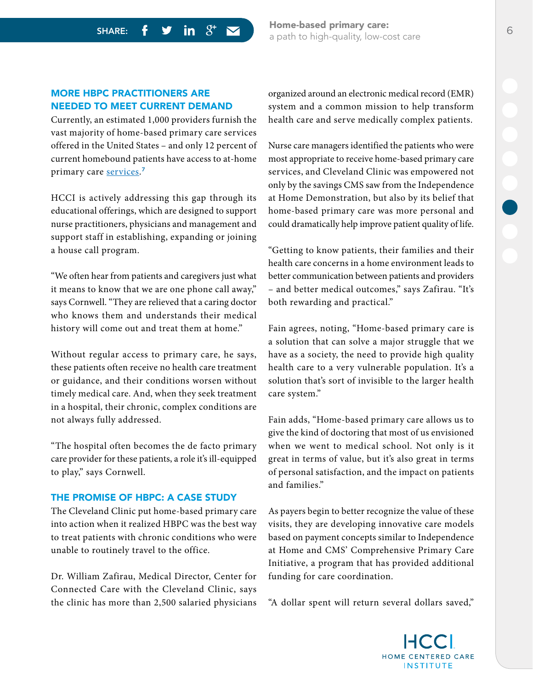SHARE:  $f \circ f$  in  $S^+$   $\sim$  Home-based primary care: a path to high-quality, low-cost care 6

#### MORE HBPC PRACTITIONERS ARE NEEDED TO MEET CURRENT DEMAND

Currently, an estimated 1,000 providers furnish the vast majority of home-based primary care services offered in the United States – and only 12 percent of current homebound patients have access to at-home primary care <u>services</u>.<sup>7</sup>

HCCI is actively addressing this gap through its educational offerings, which are designed to support nurse practitioners, physicians and management and support staff in establishing, expanding or joining a house call program.

"We often hear from patients and caregivers just what it means to know that we are one phone call away," says Cornwell. "They are relieved that a caring doctor who knows them and understands their medical history will come out and treat them at home."

Without regular access to primary care, he says, these patients often receive no health care treatment or guidance, and their conditions worsen without timely medical care. And, when they seek treatment in a hospital, their chronic, complex conditions are not always fully addressed.

"The hospital often becomes the de facto primary care provider for these patients, a role it's ill-equipped to play," says Cornwell.

#### THE PROMISE OF HBPC: A CASE STUDY

The Cleveland Clinic put home-based primary care into action when it realized HBPC was the best way to treat patients with chronic conditions who were unable to routinely travel to the office.

Dr. William Zafirau, Medical Director, Center for Connected Care with the Cleveland Clinic, says the clinic has more than 2,500 salaried physicians organized around an electronic medical record (EMR) system and a common mission to help transform health care and serve medically complex patients.

Nurse care managers identified the patients who were most appropriate to receive home-based primary care services, and Cleveland Clinic was empowered not only by the savings CMS saw from the Independence at Home Demonstration, but also by its belief that home-based primary care was more personal and could dramatically help improve patient quality of life.

"Getting to know patients, their families and their health care concerns in a home environment leads to better communication between patients and providers – and better medical outcomes," says Zafirau. "It's both rewarding and practical."

Fain agrees, noting, "Home-based primary care is a solution that can solve a major struggle that we have as a society, the need to provide high quality health care to a very vulnerable population. It's a solution that's sort of invisible to the larger health care system."

Fain adds, "Home-based primary care allows us to give the kind of doctoring that most of us envisioned when we went to medical school. Not only is it great in terms of value, but it's also great in terms of personal satisfaction, and the impact on patients and families."

As payers begin to better recognize the value of these visits, they are developing innovative care models based on payment concepts similar to Independence at Home and CMS' Comprehensive Primary Care Initiative, a program that has provided additional funding for care coordination.

"A dollar spent will return several dollars saved,"

HOME CENTERED CARE **INSTITUTE**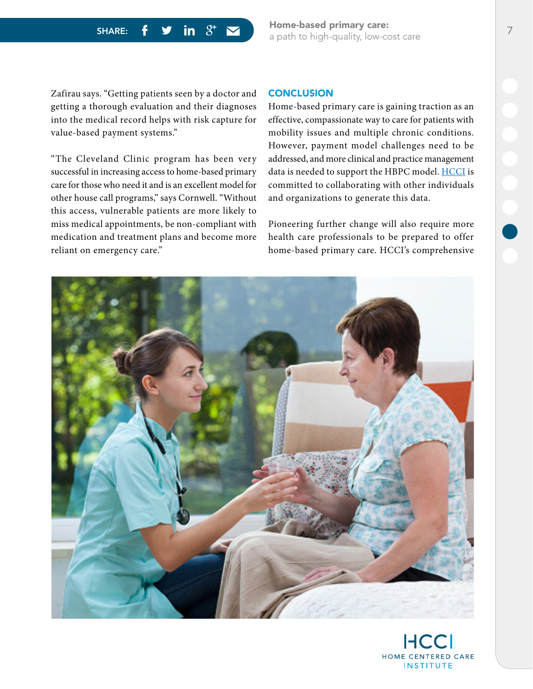SHARE:  $f \circ f$  in  $S^+$   $\sim$  Home-based primary care: a path to high-quality, low-cost care 7

Zafirau says. "Getting patients seen by a doctor and getting a thorough evaluation and their diagnoses into the medical record helps with risk capture for value-based payment systems."

"The Cleveland Clinic program has been very successful in increasing access to home-based primary care for those who need it and is an excellent model for other house call programs," says Cornwell. "Without this access, vulnerable patients are more likely to miss medical appointments, be non-compliant with medication and treatment plans and become more reliant on emergency care."

#### **CONCLUSION**

Home-based primary care is gaining traction as an effective, compassionate way to care for patients with mobility issues and multiple chronic conditions. However, payment model challenges need to be addressed, and more clinical and practice management data is needed to support the HBPC model. [HCCI](https://www.hccinstitute.org/) is committed to collaborating with other individuals and organizations to generate this data.

Pioneering further change will also require more health care professionals to be prepared to offer home-based primary care. HCCI's comprehensive